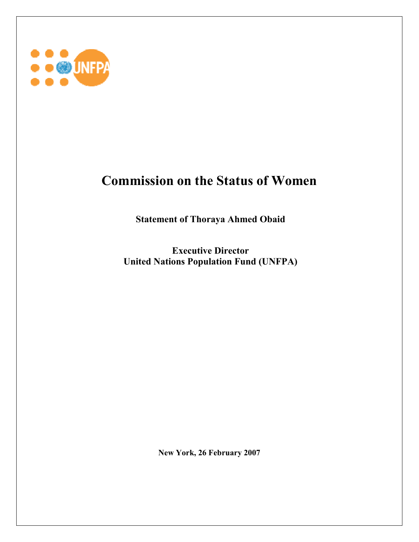

## **Commission on the Status of Women**

 **Statement of Thoraya Ahmed Obaid** 

 **Executive Director United Nations Population Fund (UNFPA)** 

**New York, 26 February 2007**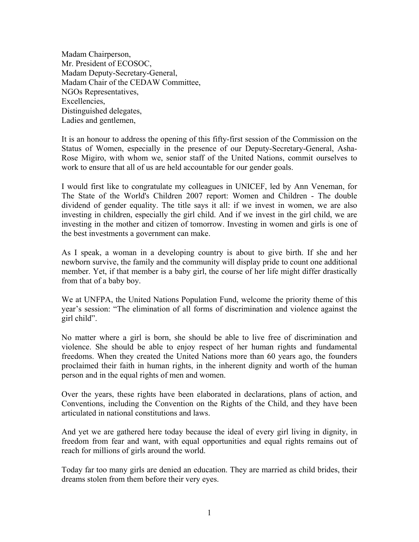Madam Chairperson, Mr. President of ECOSOC, Madam Deputy-Secretary-General, Madam Chair of the CEDAW Committee, NGOs Representatives, Excellencies, Distinguished delegates, Ladies and gentlemen,

It is an honour to address the opening of this fifty-first session of the Commission on the Status of Women, especially in the presence of our Deputy-Secretary-General, Asha-Rose Migiro, with whom we, senior staff of the United Nations, commit ourselves to work to ensure that all of us are held accountable for our gender goals.

I would first like to congratulate my colleagues in UNICEF, led by Ann Veneman, for The State of the World's Children 2007 report: Women and Children - The double dividend of gender equality. The title says it all: if we invest in women, we are also investing in children, especially the girl child. And if we invest in the girl child, we are investing in the mother and citizen of tomorrow. Investing in women and girls is one of the best investments a government can make.

As I speak, a woman in a developing country is about to give birth. If she and her newborn survive, the family and the community will display pride to count one additional member. Yet, if that member is a baby girl, the course of her life might differ drastically from that of a baby boy.

We at UNFPA, the United Nations Population Fund, welcome the priority theme of this year's session: "The elimination of all forms of discrimination and violence against the girl child".

No matter where a girl is born, she should be able to live free of discrimination and violence. She should be able to enjoy respect of her human rights and fundamental freedoms. When they created the United Nations more than 60 years ago, the founders proclaimed their faith in human rights, in the inherent dignity and worth of the human person and in the equal rights of men and women.

Over the years, these rights have been elaborated in declarations, plans of action, and Conventions, including the Convention on the Rights of the Child, and they have been articulated in national constitutions and laws.

And yet we are gathered here today because the ideal of every girl living in dignity, in freedom from fear and want, with equal opportunities and equal rights remains out of reach for millions of girls around the world.

Today far too many girls are denied an education. They are married as child brides, their dreams stolen from them before their very eyes.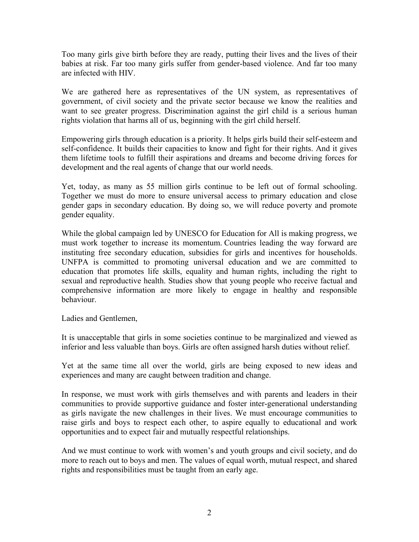Too many girls give birth before they are ready, putting their lives and the lives of their babies at risk. Far too many girls suffer from gender-based violence. And far too many are infected with HIV.

We are gathered here as representatives of the UN system, as representatives of government, of civil society and the private sector because we know the realities and want to see greater progress. Discrimination against the girl child is a serious human rights violation that harms all of us, beginning with the girl child herself.

Empowering girls through education is a priority. It helps girls build their self-esteem and self-confidence. It builds their capacities to know and fight for their rights. And it gives them lifetime tools to fulfill their aspirations and dreams and become driving forces for development and the real agents of change that our world needs.

Yet, today, as many as 55 million girls continue to be left out of formal schooling. Together we must do more to ensure universal access to primary education and close gender gaps in secondary education. By doing so, we will reduce poverty and promote gender equality.

While the global campaign led by UNESCO for Education for All is making progress, we must work together to increase its momentum. Countries leading the way forward are instituting free secondary education, subsidies for girls and incentives for households. UNFPA is committed to promoting universal education and we are committed to education that promotes life skills, equality and human rights, including the right to sexual and reproductive health. Studies show that young people who receive factual and comprehensive information are more likely to engage in healthy and responsible behaviour.

Ladies and Gentlemen,

It is unacceptable that girls in some societies continue to be marginalized and viewed as inferior and less valuable than boys. Girls are often assigned harsh duties without relief.

Yet at the same time all over the world, girls are being exposed to new ideas and experiences and many are caught between tradition and change.

In response, we must work with girls themselves and with parents and leaders in their communities to provide supportive guidance and foster inter-generational understanding as girls navigate the new challenges in their lives. We must encourage communities to raise girls and boys to respect each other, to aspire equally to educational and work opportunities and to expect fair and mutually respectful relationships.

And we must continue to work with women's and youth groups and civil society, and do more to reach out to boys and men. The values of equal worth, mutual respect, and shared rights and responsibilities must be taught from an early age.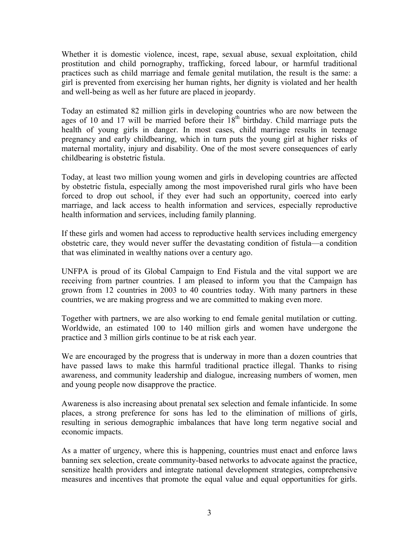Whether it is domestic violence, incest, rape, sexual abuse, sexual exploitation, child prostitution and child pornography, trafficking, forced labour, or harmful traditional practices such as child marriage and female genital mutilation, the result is the same: a girl is prevented from exercising her human rights, her dignity is violated and her health and well-being as well as her future are placed in jeopardy.

Today an estimated 82 million girls in developing countries who are now between the ages of 10 and 17 will be married before their  $18<sup>th</sup>$  birthday. Child marriage puts the health of young girls in danger. In most cases, child marriage results in teenage pregnancy and early childbearing, which in turn puts the young girl at higher risks of maternal mortality, injury and disability. One of the most severe consequences of early childbearing is obstetric fistula.

Today, at least two million young women and girls in developing countries are affected by obstetric fistula, especially among the most impoverished rural girls who have been forced to drop out school, if they ever had such an opportunity, coerced into early marriage, and lack access to health information and services, especially reproductive health information and services, including family planning.

If these girls and women had access to reproductive health services including emergency obstetric care, they would never suffer the devastating condition of fistula—a condition that was eliminated in wealthy nations over a century ago.

UNFPA is proud of its Global Campaign to End Fistula and the vital support we are receiving from partner countries. I am pleased to inform you that the Campaign has grown from 12 countries in 2003 to 40 countries today. With many partners in these countries, we are making progress and we are committed to making even more.

Together with partners, we are also working to end female genital mutilation or cutting. Worldwide, an estimated 100 to 140 million girls and women have undergone the practice and 3 million girls continue to be at risk each year.

We are encouraged by the progress that is underway in more than a dozen countries that have passed laws to make this harmful traditional practice illegal. Thanks to rising awareness, and community leadership and dialogue, increasing numbers of women, men and young people now disapprove the practice.

Awareness is also increasing about prenatal sex selection and female infanticide. In some places, a strong preference for sons has led to the elimination of millions of girls, resulting in serious demographic imbalances that have long term negative social and economic impacts.

As a matter of urgency, where this is happening, countries must enact and enforce laws banning sex selection, create community-based networks to advocate against the practice, sensitize health providers and integrate national development strategies, comprehensive measures and incentives that promote the equal value and equal opportunities for girls.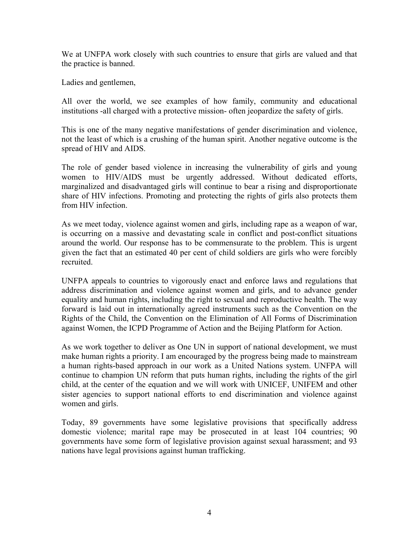We at UNFPA work closely with such countries to ensure that girls are valued and that the practice is banned.

Ladies and gentlemen,

All over the world, we see examples of how family, community and educational institutions -all charged with a protective mission- often jeopardize the safety of girls.

This is one of the many negative manifestations of gender discrimination and violence, not the least of which is a crushing of the human spirit. Another negative outcome is the spread of HIV and AIDS.

The role of gender based violence in increasing the vulnerability of girls and young women to HIV/AIDS must be urgently addressed. Without dedicated efforts, marginalized and disadvantaged girls will continue to bear a rising and disproportionate share of HIV infections. Promoting and protecting the rights of girls also protects them from HIV infection.

As we meet today, violence against women and girls, including rape as a weapon of war, is occurring on a massive and devastating scale in conflict and post-conflict situations around the world. Our response has to be commensurate to the problem. This is urgent given the fact that an estimated 40 per cent of child soldiers are girls who were forcibly recruited.

UNFPA appeals to countries to vigorously enact and enforce laws and regulations that address discrimination and violence against women and girls, and to advance gender equality and human rights, including the right to sexual and reproductive health. The way forward is laid out in internationally agreed instruments such as the Convention on the Rights of the Child, the Convention on the Elimination of All Forms of Discrimination against Women, the ICPD Programme of Action and the Beijing Platform for Action.

As we work together to deliver as One UN in support of national development, we must make human rights a priority. I am encouraged by the progress being made to mainstream a human rights-based approach in our work as a United Nations system. UNFPA will continue to champion UN reform that puts human rights, including the rights of the girl child, at the center of the equation and we will work with UNICEF, UNIFEM and other sister agencies to support national efforts to end discrimination and violence against women and girls.

Today, 89 governments have some legislative provisions that specifically address domestic violence; marital rape may be prosecuted in at least 104 countries; 90 governments have some form of legislative provision against sexual harassment; and 93 nations have legal provisions against human trafficking.